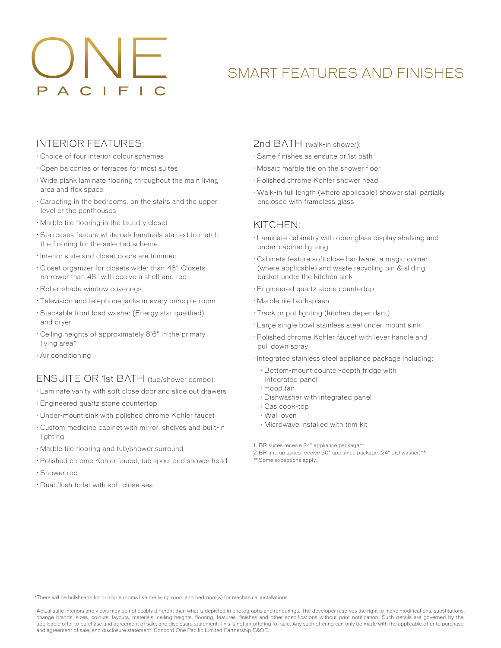# SMART FEATURES AND FINISHES

# INTERIOR FEATURES:

- · Choice of four interior colour schemes
- · Open balconies or terraces for most suites
- · Wide plank laminate flooring throughout the main living area and flex space
- · Carpeting in the bedrooms, on the stairs and the upper level of the penthouses
- · Marble tile flooring in the laundry closet
- · Staircases feature white oak handrails stained to match the flooring for the selected scheme
- · Interior suite and closet doors are trimmed
- · Closet organizer for closets wider than 48". Closets narrower than 48" will receive a shelf and rod
- · Roller-shade window coverings
- · Television and telephone jacks in every principle room
- · Stackable front load washer (Energy star qualified) and dryer
- · Ceiling heights of approximately 8'6" in the primary living area\*
- · Air conditioning

### ENSUITE OR 1st BATH (tub/shower combo):

- · Laminate vanity with soft close door and slide out drawers
- · Engineered quartz stone countertop
- · Under-mount sink with polished chrome Kohler faucet
- · Custom medicine cabinet with mirror, shelves and built-in lighting
- · Marble tile flooring and tub/shower surround
- · Polished chrome Kohler faucet, tub spout and shower head
- · Shower rod
- · Dual flush toilet with soft close seat

### 2nd BATH (walk-in shower):

- · Same finishes as ensuite or 1st bath
- · Mosaic marble tile on the shower floor
- · Polished chrome Kohler shower head
- · Walk-in full length (where applicable) shower stall partially enclosed with frameless glass

## KITCHEN:

- · Laminate cabinetry with open glass display shelving and under-cabinet lighting
- · Cabinets feature soft close hardware, a magic corner (where applicable) and waste recycling bin & sliding basket under the kitchen sink
- · Engineered quartz stone countertop
- · Marble tile backsplash
- · Track or pot lighting (kitchen dependant)
- · Large single bowl stainless steel under-mount sink
- · Polished chrome Kohler faucet with lever handle and pull down spray
- · Integrated stainless steel appliance package including:
	- · Bottom-mount counter-depth fridge with integrated panel
	- · Hood fan
	- · Dishwasher with integrated panel
	- · Gas cook-top
	- · Wall oven
	- · Microwave installed with trim kit
- 1 BR suites receive 24" appliance package\*\*
- 2 BR and up suites receive 30" appliance package (24" dishwasher)\*\*
- \*\* Some exceptions apply.

\*There will be bulkheads for principle rooms like the living room and bedroom(s) for mechanical installations.

Actual suite interiors and views may be noticeably different than what is depicted in photographs and renderings. The developer reserves the right to make modifications, substitutions, change brands, sizes, colours, layouts, materials, ceiling heights, flooring, features, finishes and other specifications without prior notification. Such details are governed by the applicable offer to purchase and agreement of sale, and disclosure statement. This is not an offering for sale. Any such offering can only be made with the applicable offer to purchase and agreement of sale, and disclosure statement. Concord One Pacific Limited Partnership E&OE.